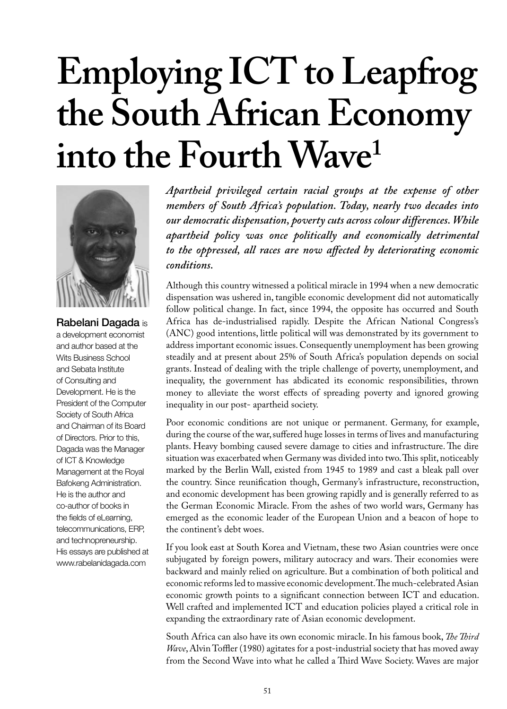# **Employing ICT to Leapfrog the South African Economy into the Fourth Wave1**



Rabelani Dagada is a development economist and author based at the Wits Business School and Sebata Institute of Consulting and Development. He is the President of the Computer Society of South Africa and Chairman of its Board of Directors. Prior to this, Dagada was the Manager of ICT & Knowledge Management at the Royal Bafokeng Administration. He is the author and co-author of books in the fields of eLearning, telecommunications, ERP, and technopreneurship. His essays are published at www.rabelanidagada.com

*Apartheid privileged certain racial groups at the expense of other members of South Africa's population. Today, nearly two decades into our democratic dispensation, poverty cuts across colour differences. While apartheid policy was once politically and economically detrimental to the oppressed, all races are now affected by deteriorating economic conditions.* 

Although this country witnessed a political miracle in 1994 when a new democratic dispensation was ushered in, tangible economic development did not automatically follow political change. In fact, since 1994, the opposite has occurred and South Africa has de-industrialised rapidly. Despite the African National Congress's (ANC) good intentions, little political will was demonstrated by its government to address important economic issues. Consequently unemployment has been growing steadily and at present about 25% of South Africa's population depends on social grants. Instead of dealing with the triple challenge of poverty, unemployment, and inequality, the government has abdicated its economic responsibilities, thrown money to alleviate the worst effects of spreading poverty and ignored growing inequality in our post- apartheid society.

Poor economic conditions are not unique or permanent. Germany, for example, during the course of the war, suffered huge losses in terms of lives and manufacturing plants. Heavy bombing caused severe damage to cities and infrastructure. The dire situation was exacerbated when Germany was divided into two. This split, noticeably marked by the Berlin Wall, existed from 1945 to 1989 and cast a bleak pall over the country. Since reunification though, Germany's infrastructure, reconstruction, and economic development has been growing rapidly and is generally referred to as the German Economic Miracle. From the ashes of two world wars, Germany has emerged as the economic leader of the European Union and a beacon of hope to the continent's debt woes.

If you look east at South Korea and Vietnam, these two Asian countries were once subjugated by foreign powers, military autocracy and wars. Their economies were backward and mainly relied on agriculture. But a combination of both political and economic reforms led to massive economic development. The much-celebrated Asian economic growth points to a significant connection between ICT and education. Well crafted and implemented ICT and education policies played a critical role in expanding the extraordinary rate of Asian economic development.

South Africa can also have its own economic miracle. In his famous book, *The Third Wave*, Alvin Toffler (1980) agitates for a post-industrial society that has moved away from the Second Wave into what he called a Third Wave Society. Waves are major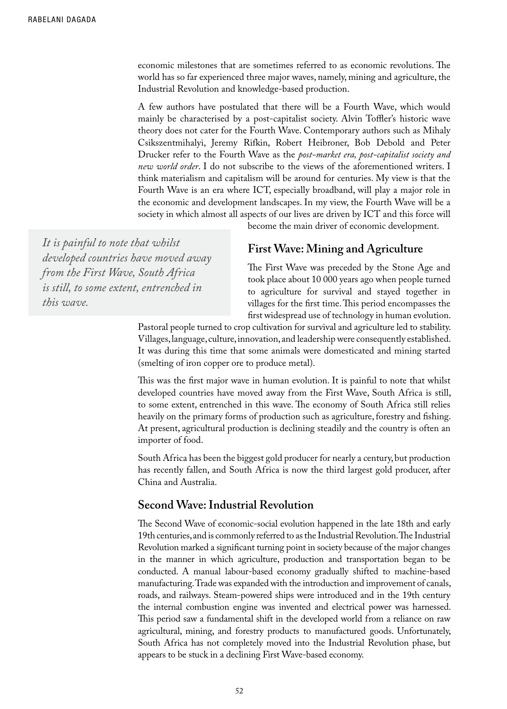economic milestones that are sometimes referred to as economic revolutions. The world has so far experienced three major waves, namely, mining and agriculture, the Industrial Revolution and knowledge-based production.

A few authors have postulated that there will be a Fourth Wave, which would mainly be characterised by a post-capitalist society. Alvin Toffler's historic wave theory does not cater for the Fourth Wave. Contemporary authors such as Mihaly Csikszentmihalyi, Jeremy Rifkin, Robert Heibroner, Bob Debold and Peter Drucker refer to the Fourth Wave as the *post-market era, post-capitalist society and new world order*. I do not subscribe to the views of the aforementioned writers. I think materialism and capitalism will be around for centuries. My view is that the Fourth Wave is an era where ICT, especially broadband, will play a major role in the economic and development landscapes. In my view, the Fourth Wave will be a society in which almost all aspects of our lives are driven by ICT and this force will

*It is painful to note that whilst developed countries have moved away from the First Wave, South Africa is still, to some extent, entrenched in this wave.* 

#### become the main driver of economic development.

#### **First Wave: Mining and Agriculture**

The First Wave was preceded by the Stone Age and took place about 10 000 years ago when people turned to agriculture for survival and stayed together in villages for the first time. This period encompasses the first widespread use of technology in human evolution.

Pastoral people turned to crop cultivation for survival and agriculture led to stability. Villages, language, culture, innovation, and leadership were consequently established. It was during this time that some animals were domesticated and mining started (smelting of iron copper ore to produce metal).

This was the first major wave in human evolution. It is painful to note that whilst developed countries have moved away from the First Wave, South Africa is still, to some extent, entrenched in this wave. The economy of South Africa still relies heavily on the primary forms of production such as agriculture, forestry and fishing. At present, agricultural production is declining steadily and the country is often an importer of food.

South Africa has been the biggest gold producer for nearly a century, but production has recently fallen, and South Africa is now the third largest gold producer, after China and Australia.

#### **Second Wave: Industrial Revolution**

The Second Wave of economic-social evolution happened in the late 18th and early 19th centuries, and is commonly referred to as the Industrial Revolution. The Industrial Revolution marked a significant turning point in society because of the major changes in the manner in which agriculture, production and transportation began to be conducted. A manual labour-based economy gradually shifted to machine-based manufacturing. Trade was expanded with the introduction and improvement of canals, roads, and railways. Steam-powered ships were introduced and in the 19th century the internal combustion engine was invented and electrical power was harnessed. This period saw a fundamental shift in the developed world from a reliance on raw agricultural, mining, and forestry products to manufactured goods. Unfortunately, South Africa has not completely moved into the Industrial Revolution phase, but appears to be stuck in a declining First Wave-based economy.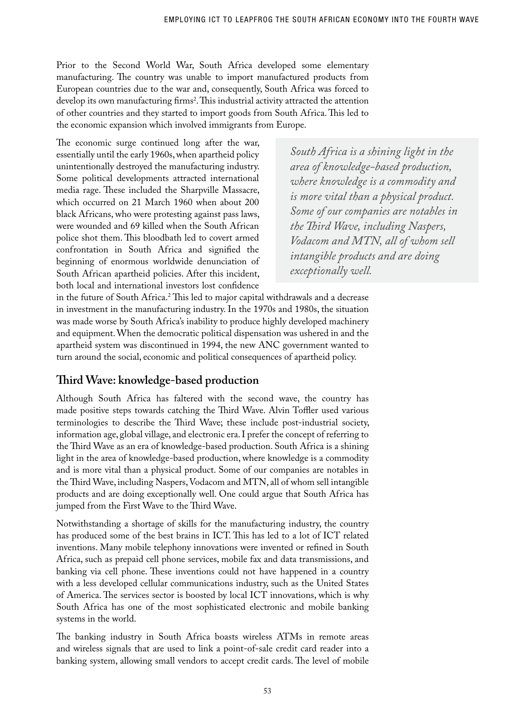Prior to the Second World War, South Africa developed some elementary manufacturing. The country was unable to import manufactured products from European countries due to the war and, consequently, South Africa was forced to develop its own manufacturing firms<sup>2</sup>. This industrial activity attracted the attention of other countries and they started to import goods from South Africa. This led to the economic expansion which involved immigrants from Europe.

The economic surge continued long after the war, essentially until the early 1960s, when apartheid policy unintentionally destroyed the manufacturing industry. Some political developments attracted international media rage. These included the Sharpville Massacre, which occurred on 21 March 1960 when about 200 black Africans, who were protesting against pass laws, were wounded and 69 killed when the South African police shot them. This bloodbath led to covert armed confrontation in South Africa and signified the beginning of enormous worldwide denunciation of South African apartheid policies. After this incident, both local and international investors lost confidence

*South Africa is a shining light in the area of knowledge-based production, where knowledge is a commodity and is more vital than a physical product. Some of our companies are notables in the Third Wave, including Naspers, Vodacom and MTN, all of whom sell intangible products and are doing exceptionally well.*

in the future of South Africa.<sup>2</sup> This led to major capital withdrawals and a decrease in investment in the manufacturing industry. In the 1970s and 1980s, the situation was made worse by South Africa's inability to produce highly developed machinery and equipment. When the democratic political dispensation was ushered in and the apartheid system was discontinued in 1994, the new ANC government wanted to turn around the social, economic and political consequences of apartheid policy.

## **Third Wave: knowledge-based production**

Although South Africa has faltered with the second wave, the country has made positive steps towards catching the Third Wave. Alvin Toffler used various terminologies to describe the Third Wave; these include post-industrial society, information age, global village, and electronic era. I prefer the concept of referring to the Third Wave as an era of knowledge-based production. South Africa is a shining light in the area of knowledge-based production, where knowledge is a commodity and is more vital than a physical product. Some of our companies are notables in the Third Wave, including Naspers, Vodacom and MTN, all of whom sell intangible products and are doing exceptionally well. One could argue that South Africa has jumped from the First Wave to the Third Wave.

Notwithstanding a shortage of skills for the manufacturing industry, the country has produced some of the best brains in ICT. This has led to a lot of ICT related inventions. Many mobile telephony innovations were invented or refined in South Africa, such as prepaid cell phone services, mobile fax and data transmissions, and banking via cell phone. These inventions could not have happened in a country with a less developed cellular communications industry, such as the United States of America. The services sector is boosted by local ICT innovations, which is why South Africa has one of the most sophisticated electronic and mobile banking systems in the world.

The banking industry in South Africa boasts wireless ATMs in remote areas and wireless signals that are used to link a point-of-sale credit card reader into a banking system, allowing small vendors to accept credit cards. The level of mobile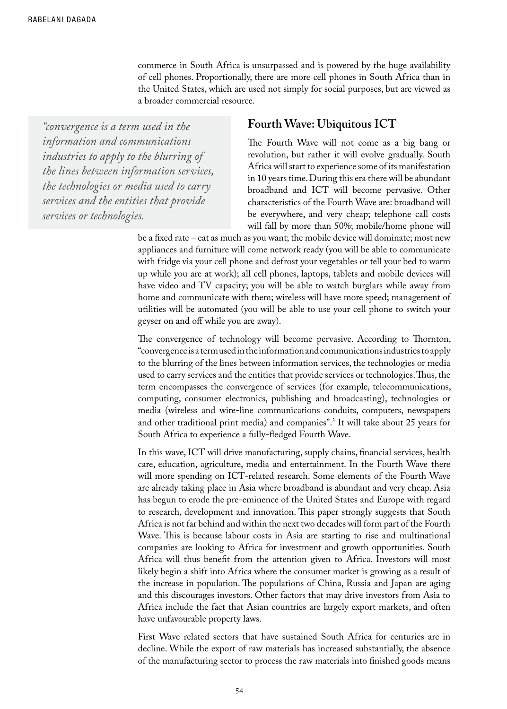commerce in South Africa is unsurpassed and is powered by the huge availability of cell phones. Proportionally, there are more cell phones in South Africa than in the United States, which are used not simply for social purposes, but are viewed as a broader commercial resource.

*"convergence is a term used in the information and communications industries to apply to the blurring of the lines between information services, the technologies or media used to carry services and the entities that provide services or technologies.*

#### **Fourth Wave: Ubiquitous ICT**

The Fourth Wave will not come as a big bang or revolution, but rather it will evolve gradually. South Africa will start to experience some of its manifestation in 10 years time. During this era there will be abundant broadband and ICT will become pervasive. Other characteristics of the Fourth Wave are: broadband will be everywhere, and very cheap; telephone call costs will fall by more than 50%; mobile/home phone will

be a fixed rate – eat as much as you want; the mobile device will dominate; most new appliances and furniture will come network ready (you will be able to communicate with fridge via your cell phone and defrost your vegetables or tell your bed to warm up while you are at work); all cell phones, laptops, tablets and mobile devices will have video and TV capacity; you will be able to watch burglars while away from home and communicate with them; wireless will have more speed; management of utilities will be automated (you will be able to use your cell phone to switch your geyser on and off while you are away).

The convergence of technology will become pervasive. According to Thornton, "convergence is a term used in the information and communications industries to apply to the blurring of the lines between information services, the technologies or media used to carry services and the entities that provide services or technologies. Thus, the term encompasses the convergence of services (for example, telecommunications, computing, consumer electronics, publishing and broadcasting), technologies or media (wireless and wire-line communications conduits, computers, newspapers and other traditional print media) and companies".3 It will take about 25 years for South Africa to experience a fully-fledged Fourth Wave.

In this wave, ICT will drive manufacturing, supply chains, financial services, health care, education, agriculture, media and entertainment. In the Fourth Wave there will more spending on ICT-related research. Some elements of the Fourth Wave are already taking place in Asia where broadband is abundant and very cheap. Asia has begun to erode the pre-eminence of the United States and Europe with regard to research, development and innovation. This paper strongly suggests that South Africa is not far behind and within the next two decades will form part of the Fourth Wave. This is because labour costs in Asia are starting to rise and multinational companies are looking to Africa for investment and growth opportunities. South Africa will thus benefit from the attention given to Africa. Investors will most likely begin a shift into Africa where the consumer market is growing as a result of the increase in population. The populations of China, Russia and Japan are aging and this discourages investors. Other factors that may drive investors from Asia to Africa include the fact that Asian countries are largely export markets, and often have unfavourable property laws.

First Wave related sectors that have sustained South Africa for centuries are in decline. While the export of raw materials has increased substantially, the absence of the manufacturing sector to process the raw materials into finished goods means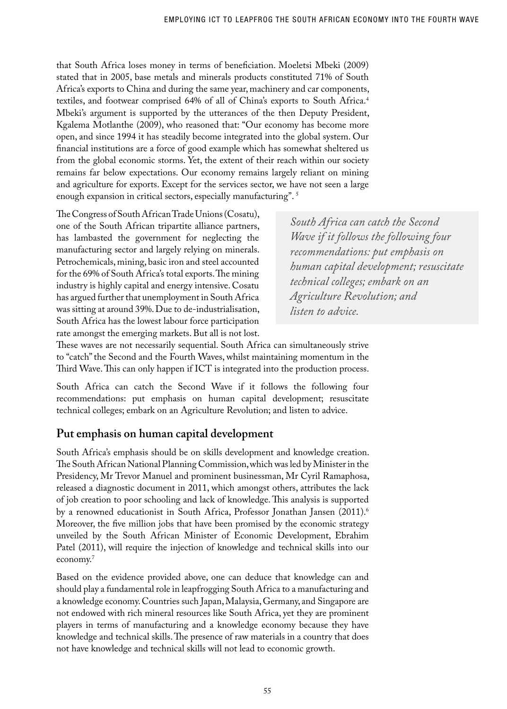that South Africa loses money in terms of beneficiation. Moeletsi Mbeki (2009) stated that in 2005, base metals and minerals products constituted 71% of South Africa's exports to China and during the same year, machinery and car components, textiles, and footwear comprised 64% of all of China's exports to South Africa.4 Mbeki's argument is supported by the utterances of the then Deputy President, Kgalema Motlanthe (2009), who reasoned that: "Our economy has become more open, and since 1994 it has steadily become integrated into the global system. Our financial institutions are a force of good example which has somewhat sheltered us from the global economic storms. Yet, the extent of their reach within our society remains far below expectations. Our economy remains largely reliant on mining and agriculture for exports. Except for the services sector, we have not seen a large enough expansion in critical sectors, especially manufacturing". 5

The Congress of South African Trade Unions (Cosatu), one of the South African tripartite alliance partners, has lambasted the government for neglecting the manufacturing sector and largely relying on minerals. Petrochemicals, mining, basic iron and steel accounted for the 69% of South Africa's total exports. The mining industry is highly capital and energy intensive. Cosatu has argued further that unemployment in South Africa was sitting at around 39%. Due to de-industrialisation, South Africa has the lowest labour force participation rate amongst the emerging markets. But all is not lost.

*South Africa can catch the Second Wave if it follows the following four recommendations: put emphasis on human capital development; resuscitate technical colleges; embark on an Agriculture Revolution; and listen to advice.* 

These waves are not necessarily sequential. South Africa can simultaneously strive to "catch" the Second and the Fourth Waves, whilst maintaining momentum in the Third Wave. This can only happen if ICT is integrated into the production process.

South Africa can catch the Second Wave if it follows the following four recommendations: put emphasis on human capital development; resuscitate technical colleges; embark on an Agriculture Revolution; and listen to advice.

## **Put emphasis on human capital development**

South Africa's emphasis should be on skills development and knowledge creation. The South African National Planning Commission, which was led by Minister in the Presidency, Mr Trevor Manuel and prominent businessman, Mr Cyril Ramaphosa, released a diagnostic document in 2011, which amongst others, attributes the lack of job creation to poor schooling and lack of knowledge. This analysis is supported by a renowned educationist in South Africa, Professor Jonathan Jansen (2011).<sup>6</sup> Moreover, the five million jobs that have been promised by the economic strategy unveiled by the South African Minister of Economic Development, Ebrahim Patel (2011), will require the injection of knowledge and technical skills into our economy.7

Based on the evidence provided above, one can deduce that knowledge can and should play a fundamental role in leapfrogging South Africa to a manufacturing and a knowledge economy. Countries such Japan, Malaysia, Germany, and Singapore are not endowed with rich mineral resources like South Africa, yet they are prominent players in terms of manufacturing and a knowledge economy because they have knowledge and technical skills. The presence of raw materials in a country that does not have knowledge and technical skills will not lead to economic growth.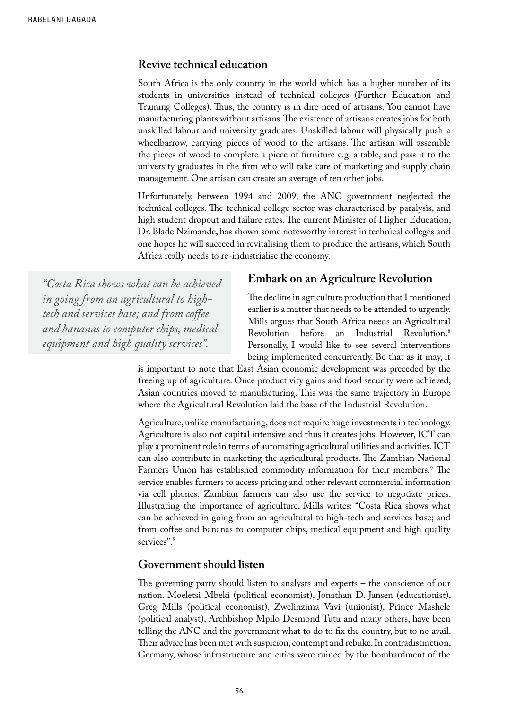#### **Revive technical education**

South Africa is the only country in the world which has a higher number of its students in universities instead of technical colleges (Further Education and Training Colleges). Thus, the country is in dire need of artisans. You cannot have manufacturing plants without artisans. The existence of artisans creates jobs for both unskilled labour and university graduates. Unskilled labour will physically push a wheelbarrow, carrying pieces of wood to the artisans. The artisan will assemble the pieces of wood to complete a piece of furniture e.g. a table, and pass it to the university graduates in the firm who will take care of marketing and supply chain management. One artisan can create an average of ten other jobs.

Unfortunately, between 1994 and 2009, the ANC government neglected the technical colleges. The technical college sector was characterised by paralysis, and high student dropout and failure rates. The current Minister of Higher Education, Dr. Blade Nzimande, has shown some noteworthy interest in technical colleges and one hopes he will succeed in revitalising them to produce the artisans, which South Africa really needs to re-industrialise the economy.

*"Costa Rica shows what can be achieved in going from an agricultural to hightech and services base; and from coffee and bananas to computer chips, medical equipment and high quality services".*

#### **Embark on an Agriculture Revolution**

The decline in agriculture production that I mentioned earlier is a matter that needs to be attended to urgently. Mills argues that South Africa needs an Agricultural Revolution before an Industrial Revolution.8 Personally, I would like to see several interventions being implemented concurrently. Be that as it may, it

is important to note that East Asian economic development was preceded by the freeing up of agriculture. Once productivity gains and food security were achieved, Asian countries moved to manufacturing. This was the same trajectory in Europe where the Agricultural Revolution laid the base of the Industrial Revolution.

Agriculture, unlike manufacturing, does not require huge investments in technology. Agriculture is also not capital intensive and thus it creates jobs. However, ICT can play a prominent role in terms of automating agricultural utilities and activities. ICT can also contribute in marketing the agricultural products. The Zambian National Farmers Union has established commodity information for their members.<sup>9</sup> The service enables farmers to access pricing and other relevant commercial information via cell phones. Zambian farmers can also use the service to negotiate prices. Illustrating the importance of agriculture, Mills writes: "Costa Rica shows what can be achieved in going from an agricultural to high-tech and services base; and from coffee and bananas to computer chips, medical equipment and high quality services".<sup>8</sup>

#### **Government should listen**

The governing party should listen to analysts and experts – the conscience of our nation. Moeletsi Mbeki (political economist), Jonathan D. Jansen (educationist), Greg Mills (political economist), Zwelinzima Vavi (unionist), Prince Mashele (political analyst), Archbishop Mpilo Desmond Tutu and many others, have been telling the ANC and the government what to do to fix the country, but to no avail. Their advice has been met with suspicion, contempt and rebuke. In contradistinction, Germany, whose infrastructure and cities were ruined by the bombardment of the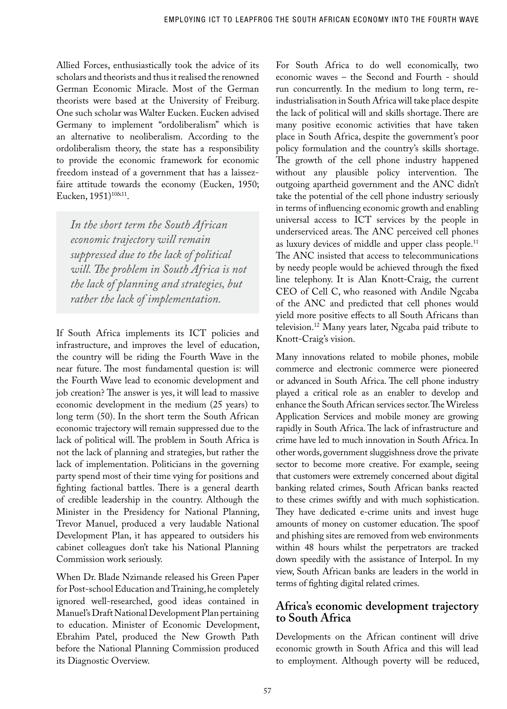Allied Forces, enthusiastically took the advice of its scholars and theorists and thus it realised the renowned German Economic Miracle. Most of the German theorists were based at the University of Freiburg. One such scholar was Walter Eucken. Eucken advised Germany to implement "ordoliberalism" which is an alternative to neoliberalism. According to the ordoliberalism theory, the state has a responsibility to provide the economic framework for economic freedom instead of a government that has a laissezfaire attitude towards the economy (Eucken, 1950; Eucken, 1951)<sup>10&11</sup>.

*In the short term the South African economic trajectory will remain suppressed due to the lack of political will. The problem in South Africa is not the lack of planning and strategies, but rather the lack of implementation.* 

If South Africa implements its ICT policies and infrastructure, and improves the level of education, the country will be riding the Fourth Wave in the near future. The most fundamental question is: will the Fourth Wave lead to economic development and job creation? The answer is yes, it will lead to massive economic development in the medium (25 years) to long term (50). In the short term the South African economic trajectory will remain suppressed due to the lack of political will. The problem in South Africa is not the lack of planning and strategies, but rather the lack of implementation. Politicians in the governing party spend most of their time vying for positions and fighting factional battles. There is a general dearth of credible leadership in the country. Although the Minister in the Presidency for National Planning, Trevor Manuel, produced a very laudable National Development Plan, it has appeared to outsiders his cabinet colleagues don't take his National Planning Commission work seriously.

When Dr. Blade Nzimande released his Green Paper for Post-school Education and Training, he completely ignored well-researched, good ideas contained in Manuel's Draft National Development Plan pertaining to education. Minister of Economic Development, Ebrahim Patel, produced the New Growth Path before the National Planning Commission produced its Diagnostic Overview.

For South Africa to do well economically, two economic waves – the Second and Fourth - should run concurrently. In the medium to long term, reindustrialisation in South Africa will take place despite the lack of political will and skills shortage. There are many positive economic activities that have taken place in South Africa, despite the government's poor policy formulation and the country's skills shortage. The growth of the cell phone industry happened without any plausible policy intervention. The outgoing apartheid government and the ANC didn't take the potential of the cell phone industry seriously in terms of influencing economic growth and enabling universal access to ICT services by the people in underserviced areas. The ANC perceived cell phones as luxury devices of middle and upper class people.<sup>11</sup> The ANC insisted that access to telecommunications by needy people would be achieved through the fixed line telephony. It is Alan Knott-Craig, the current CEO of Cell C, who reasoned with Andile Ngcaba of the ANC and predicted that cell phones would yield more positive effects to all South Africans than television.12 Many years later, Ngcaba paid tribute to Knott-Craig's vision.

Many innovations related to mobile phones, mobile commerce and electronic commerce were pioneered or advanced in South Africa. The cell phone industry played a critical role as an enabler to develop and enhance the South African services sector. The Wireless Application Services and mobile money are growing rapidly in South Africa. The lack of infrastructure and crime have led to much innovation in South Africa. In other words, government sluggishness drove the private sector to become more creative. For example, seeing that customers were extremely concerned about digital banking related crimes, South African banks reacted to these crimes swiftly and with much sophistication. They have dedicated e-crime units and invest huge amounts of money on customer education. The spoof and phishing sites are removed from web environments within 48 hours whilst the perpetrators are tracked down speedily with the assistance of Interpol. In my view, South African banks are leaders in the world in terms of fighting digital related crimes.

### **Africa's economic development trajectory to South Africa**

Developments on the African continent will drive economic growth in South Africa and this will lead to employment. Although poverty will be reduced,